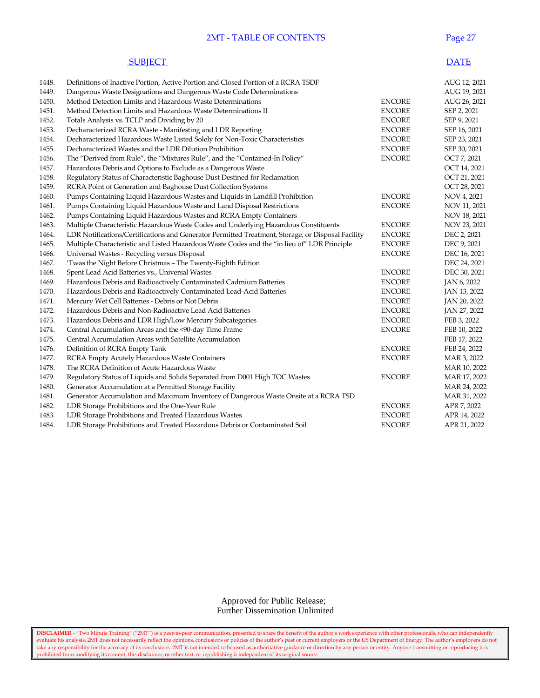## 2MT - TABLE OF CONTENTS Page 27

#### **SUBJECT** DATE

| Definitions of Inactive Portion, Active Portion and Closed Portion of a RCRA TSDF<br>1448.                                  | AUG 12, 2021 |
|-----------------------------------------------------------------------------------------------------------------------------|--------------|
| 1449.<br>Dangerous Waste Designations and Dangerous Waste Code Determinations                                               | AUG 19, 2021 |
| 1450.<br>Method Detection Limits and Hazardous Waste Determinations<br><b>ENCORE</b>                                        | AUG 26, 2021 |
| 1451.<br>Method Detection Limits and Hazardous Waste Determinations II<br><b>ENCORE</b>                                     | SEP 2, 2021  |
| 1452.<br>Totals Analysis vs. TCLP and Dividing by 20<br><b>ENCORE</b>                                                       | SEP 9, 2021  |
| 1453.<br><b>ENCORE</b><br>Decharacterized RCRA Waste - Manifesting and LDR Reporting                                        | SEP 16, 2021 |
| 1454.<br>Decharacterized Hazardous Waste Listed Solely for Non-Toxic Characteristics<br><b>ENCORE</b>                       | SEP 23, 2021 |
| 1455.<br>Decharacterized Wastes and the LDR Dilution Prohibition<br><b>ENCORE</b>                                           | SEP 30, 2021 |
| <b>ENCORE</b><br>1456.<br>The "Derived from Rule", the "Mixtures Rule", and the "Contained-In Policy"                       | OCT 7, 2021  |
| 1457.<br>Hazardous Debris and Options to Exclude as a Dangerous Waste                                                       | OCT 14, 2021 |
| 1458.<br>Regulatory Status of Characteristic Baghouse Dust Destined for Reclamation                                         | OCT 21, 2021 |
| 1459.<br>RCRA Point of Generation and Baghouse Dust Collection Systems                                                      | OCT 28, 2021 |
| Pumps Containing Liquid Hazardous Wastes and Liquids in Landfill Prohibition<br>1460.<br><b>ENCORE</b>                      | NOV 4, 2021  |
| Pumps Containing Liquid Hazardous Waste and Land Disposal Restrictions<br><b>ENCORE</b><br>1461.                            | NOV 11, 2021 |
| 1462.<br>Pumps Containing Liquid Hazardous Wastes and RCRA Empty Containers                                                 | NOV 18, 2021 |
| 1463.<br>Multiple Characteristic Hazardous Waste Codes and Underlying Hazardous Constituents<br><b>ENCORE</b>               | NOV 23, 2021 |
| 1464.<br>LDR Notifications/Certifications and Generator Permitted Treatment, Storage, or Disposal Facility<br><b>ENCORE</b> | DEC 2, 2021  |
| 1465.<br>Multiple Characteristic and Listed Hazardous Waste Codes and the "in lieu of" LDR Principle<br><b>ENCORE</b>       | DEC 9, 2021  |
| 1466.<br>Universal Wastes - Recycling versus Disposal<br><b>ENCORE</b>                                                      | DEC 16, 2021 |
| 1467.<br>'Twas the Night Before Christmas - The Twenty-Eighth Edition                                                       | DEC 24, 2021 |
| 1468.<br>Spent Lead Acid Batteries vs., Universal Wastes<br><b>ENCORE</b>                                                   | DEC 30, 2021 |
| 1469.<br>Hazardous Debris and Radioactively Contaminated Cadmium Batteries<br><b>ENCORE</b>                                 | JAN 6, 2022  |
| 1470.<br>Hazardous Debris and Radioactively Contaminated Lead-Acid Batteries<br><b>ENCORE</b>                               | JAN 13, 2022 |
| 1471.<br><b>ENCORE</b><br>Mercury Wet Cell Batteries - Debris or Not Debris                                                 | JAN 20, 2022 |
| 1472.<br>Hazardous Debris and Non-Radioactive Lead Acid Batteries<br><b>ENCORE</b>                                          | JAN 27, 2022 |
| 1473.<br>Hazardous Debris and LDR High/Low Mercury Subcategories<br><b>ENCORE</b>                                           | FEB 3, 2022  |
| 1474.<br>Central Accumulation Areas and the <90-day Time Frame<br><b>ENCORE</b>                                             | FEB 10, 2022 |
| 1475.<br>Central Accumulation Areas with Satellite Accumulation                                                             | FEB 17, 2022 |
| 1476.<br>Definition of RCRA Empty Tank<br><b>ENCORE</b>                                                                     | FEB 24, 2022 |
| 1477.<br>RCRA Empty Acutely Hazardous Waste Containers<br><b>ENCORE</b>                                                     | MAR 3, 2022  |
| The RCRA Definition of Acute Hazardous Waste<br>1478.                                                                       | MAR 10, 2022 |
| 1479.<br>Regulatory Status of Liquids and Solids Separated from D001 High TOC Wastes<br><b>ENCORE</b>                       | MAR 17, 2022 |
| 1480.<br>Generator Accumulation at a Permitted Storage Facility                                                             | MAR 24, 2022 |
| Generator Accumulation and Maximum Inventory of Dangerous Waste Onsite at a RCRA TSD<br>1481.                               | MAR 31, 2022 |
| 1482.<br>LDR Storage Prohibitions and the One-Year Rule<br><b>ENCORE</b>                                                    | APR 7, 2022  |
| 1483.<br>LDR Storage Prohibitions and Treated Hazardous Wastes<br><b>ENCORE</b>                                             | APR 14, 2022 |
| 1484.<br>LDR Storage Prohibitions and Treated Hazardous Debris or Contaminated Soil<br><b>ENCORE</b>                        | APR 21, 2022 |

 Approved for Public Release; Further Dissemination Unlimited

**DISCLAIMER** - "Two Minute Training" ("2MT") is a peer-to-peer communication, presented to share the benefit of the author's work experience with other professionals, who can independently evaluate his analysis. 2MT does not necessarily reflect the opinions, conclusions or policies of the author's past or current employers or the US Department of Energy. The author's employers do not take any responsibility for the accuracy of its conclusions. 2MT is not intended to be used as authoritative guidance or direction by any person or entity. Anyone transmitting or reproducing it is prohibited from modifying its content, this disclaimer, or other text, or republishing it independent of its original source.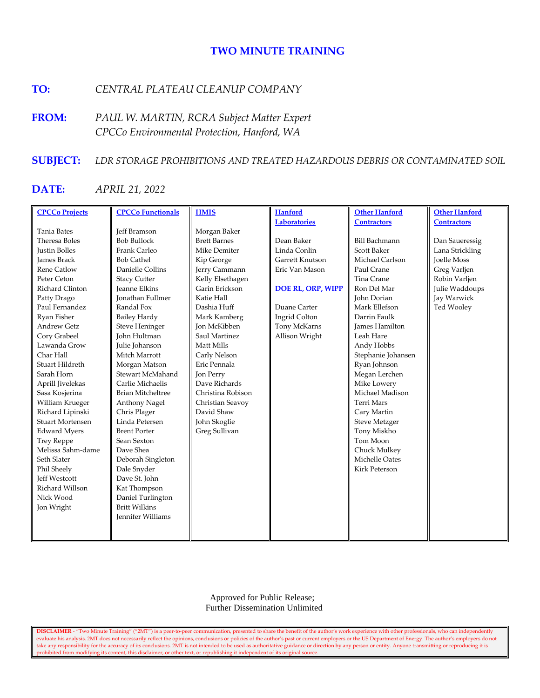# **TWO MINUTE TRAINING**

# **TO:** *CENTRAL PLATEAU CLEANUP COMPANY*

**FROM:** *PAUL W. MARTIN, RCRA Subject Matter Expert CPCCo Environmental Protection, Hanford, WA*

# **SUBJECT:** *LDR STORAGE PROHIBITIONS AND TREATED HAZARDOUS DEBRIS OR CONTAMINATED SOIL*

# **DATE:** *APRIL 21, 2022*

| <b>CPCCo Projects</b>   | <b>CPCCo Functionals</b> | <b>HMIS</b>         | <b>Hanford</b>           | <b>Other Hanford</b>  | <b>Other Hanford</b> |
|-------------------------|--------------------------|---------------------|--------------------------|-----------------------|----------------------|
|                         |                          |                     | <b>Laboratories</b>      | <b>Contractors</b>    | <b>Contractors</b>   |
| <b>Tania Bates</b>      | <b>Jeff Bramson</b>      | Morgan Baker        |                          |                       |                      |
| Theresa Boles           | <b>Bob Bullock</b>       | <b>Brett Barnes</b> | Dean Baker               | <b>Bill Bachmann</b>  | Dan Saueressig       |
| Justin Bolles           | Frank Carleo             | Mike Demiter        | Linda Conlin             | <b>Scott Baker</b>    | Lana Strickling      |
| <b>James Brack</b>      | <b>Bob Cathel</b>        | Kip George          | Garrett Knutson          | Michael Carlson       | <b>Joelle Moss</b>   |
| <b>Rene Catlow</b>      | Danielle Collins         | Jerry Cammann       | Eric Van Mason           | Paul Crane            | Greg Varljen         |
| Peter Ceton             | <b>Stacy Cutter</b>      | Kelly Elsethagen    |                          | Tina Crane            | Robin Varljen        |
| Richard Clinton         | <b>Jeanne Elkins</b>     | Garin Erickson      | <b>DOE RL, ORP, WIPP</b> | Ron Del Mar           | Julie Waddoups       |
| Patty Drago             | <b>Ionathan Fullmer</b>  | Katie Hall          |                          | <b>John Dorian</b>    | Jay Warwick          |
| Paul Fernandez          | Randal Fox               | Dashia Huff         | Duane Carter             | Mark Ellefson         | Ted Wooley           |
| Ryan Fisher             | <b>Bailey Hardy</b>      | Mark Kamberg        | Ingrid Colton            | Darrin Faulk          |                      |
| <b>Andrew Getz</b>      | <b>Steve Heninger</b>    | <b>Jon McKibben</b> | Tony McKarns             | <b>James Hamilton</b> |                      |
| Cory Grabeel            | <b>John Hultman</b>      | Saul Martinez       | Allison Wright           | Leah Hare             |                      |
| Lawanda Grow            | Julie Johanson           | Matt Mills          |                          | Andy Hobbs            |                      |
| Char Hall               | Mitch Marrott            | Carly Nelson        |                          | Stephanie Johansen    |                      |
| Stuart Hildreth         | Morgan Matson            | Eric Pennala        |                          | Ryan Johnson          |                      |
| Sarah Horn              | Stewart McMahand         | Jon Perry           |                          | Megan Lerchen         |                      |
| Aprill Jivelekas        | Carlie Michaelis         | Dave Richards       |                          | Mike Lowery           |                      |
| Sasa Kosjerina          | <b>Brian Mitcheltree</b> | Christina Robison   |                          | Michael Madison       |                      |
| William Krueger         | Anthony Nagel            | Christian Seavoy    |                          | Terri Mars            |                      |
| Richard Lipinski        | Chris Plager             | David Shaw          |                          | Cary Martin           |                      |
| <b>Stuart Mortensen</b> | Linda Petersen           | John Skoglie        |                          | <b>Steve Metzger</b>  |                      |
| <b>Edward Myers</b>     | <b>Brent Porter</b>      | Greg Sullivan       |                          | Tony Miskho           |                      |
| <b>Trey Reppe</b>       | Sean Sexton              |                     |                          | Tom Moon              |                      |
| Melissa Sahm-dame       | Dave Shea                |                     |                          | Chuck Mulkey          |                      |
| Seth Slater             | Deborah Singleton        |                     |                          | Michelle Oates        |                      |
| Phil Sheely             | Dale Snyder              |                     |                          | <b>Kirk Peterson</b>  |                      |
| <b>Jeff Westcott</b>    | Dave St. John            |                     |                          |                       |                      |
| Richard Willson         | Kat Thompson             |                     |                          |                       |                      |
| Nick Wood               | Daniel Turlington        |                     |                          |                       |                      |
| Jon Wright              | <b>Britt Wilkins</b>     |                     |                          |                       |                      |
|                         | Jennifer Williams        |                     |                          |                       |                      |
|                         |                          |                     |                          |                       |                      |
|                         |                          |                     |                          |                       |                      |

 Approved for Public Release; Further Dissemination Unlimited

**DISCLAIMER** - "Two Minute Training" ("2MT") is a peer-to-peer communication, presented to share the benefit of the author's work experience with other professionals, who can independently evaluate his analysis. 2MT does not necessarily reflect the opinions, conclusions or policies of the author's past or current employers or the US Department of Energy. The author's employers do not take any responsibility for the accuracy of its conclusions. 2MT is not intended to be used as authoritative guidance or direction by any person or entity. Anyone transmitting or reproducing it is prohibited from modifying its content, this disclaimer, or other text, or republishing it independent of its original source.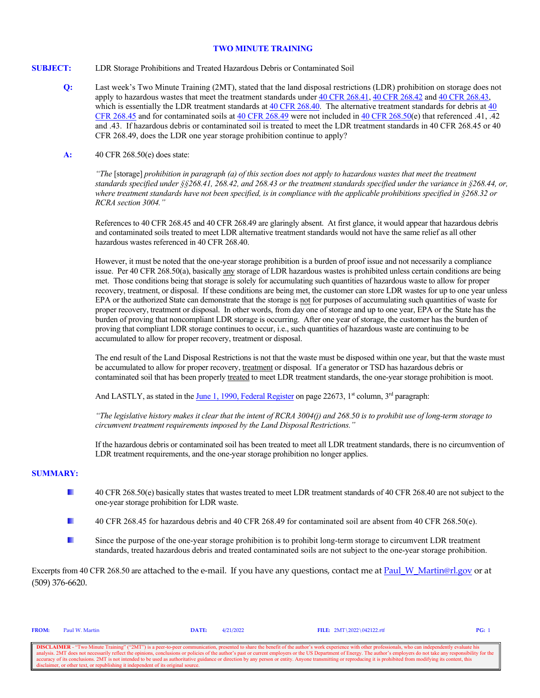#### **TWO MINUTE TRAINING**

- **SUBJECT:** LDR Storage Prohibitions and Treated Hazardous Debris or Contaminated Soil
	- **Q:** Last week's Two Minute Training (2MT), stated that the land disposal restrictions (LDR) prohibition on storage does not apply to hazardous wastes that meet the treatment standards under [40 CFR 268.41,](https://www.gpo.gov/fdsys/pkg/CFR-2016-title40-vol29/xml/CFR-2016-title40-vol29-sec268-41.xml) [40 CFR 268.42](https://www.gpo.gov/fdsys/pkg/CFR-2016-title40-vol29/xml/CFR-2016-title40-vol29-sec268-42.xml) and [40 CFR 268.43,](https://www.gpo.gov/fdsys/pkg/CFR-2016-title40-vol29/xml/CFR-2016-title40-vol29-sec268-43.xml) which is essentially the LDR treatment standards at  $40$  CFR 268.40. The alternative treatment standards for debris at  $40$ [CFR 268.45](https://www.gpo.gov/fdsys/pkg/CFR-2016-title40-vol29/xml/CFR-2016-title40-vol29-sec268-45.xml) and for contaminated soils at [40 CFR 268.49](https://www.gpo.gov/fdsys/pkg/CFR-2016-title40-vol29/xml/CFR-2016-title40-vol29-sec268-49.xml) were not included in [40 CFR 268.50\(](https://www.gpo.gov/fdsys/pkg/CFR-2016-title40-vol29/xml/CFR-2016-title40-vol29-sec268-50.xml)e) that referenced .41, .42 and .43. If hazardous debris or contaminated soil is treated to meet the LDR treatment standards in 40 CFR 268.45 or 40 CFR 268.49, does the LDR one year storage prohibition continue to apply?
	- **A:** 40 CFR 268.50(e) does state:

*"The* [storage] *prohibition in paragraph (a) of this section does not apply to hazardous wastes that meet the treatment standards specified under §§268.41, 268.42, and 268.43 or the treatment standards specified under the variance in §268.44, or, where treatment standards have not been specified, is in compliance with the applicable prohibitions specified in §268.32 or RCRA section 3004."*

References to 40 CFR 268.45 and 40 CFR 268.49 are glaringly absent. At first glance, it would appear that hazardous debris and contaminated soils treated to meet LDR alternative treatment standards would not have the same relief as all other hazardous wastes referenced in 40 CFR 268.40.

However, it must be noted that the one-year storage prohibition is a burden of proof issue and not necessarily a compliance issue. Per 40 CFR 268.50(a), basically any storage of LDR hazardous wastes is prohibited unless certain conditions are being met. Those conditions being that storage is solely for accumulating such quantities of hazardous waste to allow for proper recovery, treatment, or disposal. If these conditions are being met, the customer can store LDR wastes for up to one year unless EPA or the authorized State can demonstrate that the storage is not for purposes of accumulating such quantities of waste for proper recovery, treatment or disposal. In other words, from day one of storage and up to one year, EPA or the State has the burden of proving that noncompliant LDR storage is occurring. After one year of storage, the customer has the burden of proving that compliant LDR storage continues to occur, i.e., such quantities of hazardous waste are continuing to be accumulated to allow for proper recovery, treatment or disposal.

The end result of the Land Disposal Restrictions is not that the waste must be disposed within one year, but that the waste must be accumulated to allow for proper recovery, treatment or disposal. If a generator or TSD has hazardous debris or contaminated soil that has been properly treated to meet LDR treatment standards, the one-year storage prohibition is moot.

And LASTLY, as stated in th[e June 1, 1990, Federal Register](https://www.epa.gov/sites/production/files/2016-03/documents/55fr22520-part2.pdf) on page 22673, 1<sup>st</sup> column, 3<sup>rd</sup> paragraph:

*"The legislative history makes it clear that the intent of RCRA 3004(j) and 268.50 is to prohibit use of long-term storage to circumvent treatment requirements imposed by the Land Disposal Restrictions."*

If the hazardous debris or contaminated soil has been treated to meet all LDR treatment standards, there is no circumvention of LDR treatment requirements, and the one-year storage prohibition no longer applies.

#### **SUMMARY:**

- L. 40 CFR 268.50(e) basically states that wastes treated to meet LDR treatment standards of 40 CFR 268.40 are not subject to the one-year storage prohibition for LDR waste.
- b. 40 CFR 268.45 for hazardous debris and 40 CFR 268.49 for contaminated soil are absent from 40 CFR 268.50(e).
- b. Since the purpose of the one-year storage prohibition is to prohibit long-term storage to circumvent LDR treatment standards, treated hazardous debris and treated contaminated soils are not subject to the one-year storage prohibition.

Excerpts from 40 CFR 268.50 are attached to the e-mail. If you have any questions, contact me at Paul W\_Martin@rl.gov or at (509) 376-6620.

| <b>DISCLAIMER</b> - "Two Minute Training" ("2MT") is a peer-to-peer communication, presented to share the benefit of the author's work experience with other professionals, who can independently evaluate his           |
|--------------------------------------------------------------------------------------------------------------------------------------------------------------------------------------------------------------------------|
| analysis. 2MT does not necessarily reflect the opinions, conclusions or policies of the author's past or current employers or the US Department of Energy. The author's employers do not take any responsibility for the |
| accuracy of its conclusions. 2MT is not intended to be used as authoritative guidance or direction by any person or entity. Anyone transmitting or reproducing it is prohibited from modifying its content, this         |
| disclaimer, or other text, or republishing it independent of its original source.                                                                                                                                        |

**FROM:** Paul W. Martin **DATE:** 4/21/2022 **FILE:** 2MT\2022\042122.rtf **PG:** 1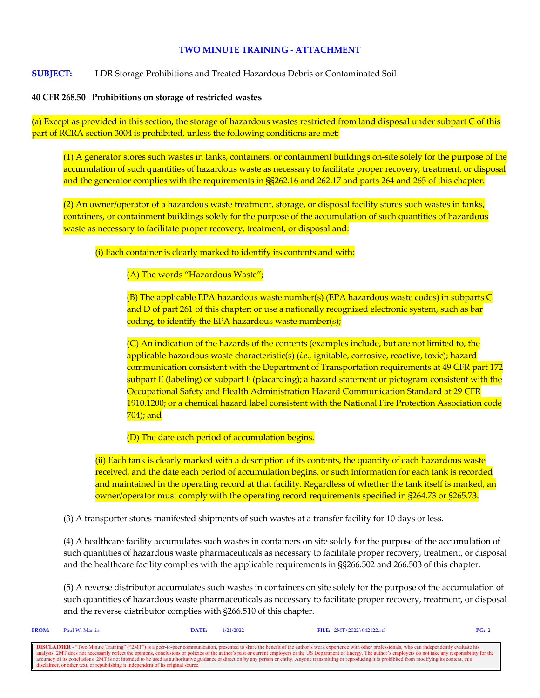## **TWO MINUTE TRAINING - ATTACHMENT**

**SUBJECT:** LDR Storage Prohibitions and Treated Hazardous Debris or Contaminated Soil

### **40 CFR 268.50 Prohibitions on storage of restricted wastes**

(a) Except as provided in this section, the storage of hazardous wastes restricted from land disposal under subpart C of this part of RCRA section 3004 is prohibited, unless the following conditions are met:

(1) A generator stores such wastes in tanks, containers, or containment buildings on-site solely for the purpose of the accumulation of such quantities of hazardous waste as necessary to facilitate proper recovery, treatment, or disposal and the generator complies with the requirements in §§262.16 and 262.17 and parts 264 and 265 of this chapter.

(2) An owner/operator of a hazardous waste treatment, storage, or disposal facility stores such wastes in tanks, containers, or containment buildings solely for the purpose of the accumulation of such quantities of hazardous waste as necessary to facilitate proper recovery, treatment, or disposal and:

(i) Each container is clearly marked to identify its contents and with:

(A) The words "Hazardous Waste";

(B) The applicable EPA hazardous waste number(s) (EPA hazardous waste codes) in subparts C and D of part 261 of this chapter; or use a nationally recognized electronic system, such as bar coding, to identify the EPA hazardous waste number(s);

(C) An indication of the hazards of the contents (examples include, but are not limited to, the applicable hazardous waste characteristic(s) (*i.e.,* ignitable, corrosive, reactive, toxic); hazard communication consistent with the Department of Transportation requirements at 49 CFR part 172 subpart E (labeling) or subpart F (placarding); a hazard statement or pictogram consistent with the Occupational Safety and Health Administration Hazard Communication Standard at 29 CFR 1910.1200; or a chemical hazard label consistent with the National Fire Protection Association code 704); and

(D) The date each period of accumulation begins.

(ii) Each tank is clearly marked with a description of its contents, the quantity of each hazardous waste received, and the date each period of accumulation begins, or such information for each tank is recorded and maintained in the operating record at that facility. Regardless of whether the tank itself is marked, an owner/operator must comply with the operating record requirements specified in §264.73 or §265.73.

(3) A transporter stores manifested shipments of such wastes at a transfer facility for 10 days or less.

(4) A healthcare facility accumulates such wastes in containers on site solely for the purpose of the accumulation of such quantities of hazardous waste pharmaceuticals as necessary to facilitate proper recovery, treatment, or disposal and the healthcare facility complies with the applicable requirements in §§266.502 and 266.503 of this chapter.

(5) A reverse distributor accumulates such wastes in containers on site solely for the purpose of the accumulation of such quantities of hazardous waste pharmaceuticals as necessary to facilitate proper recovery, treatment, or disposal and the reverse distributor complies with §266.510 of this chapter.

| <b>FROM:</b> | Paul W. Martin                                                                    | DATE: | 4/21/2022 | FILE: $2MT \ 2022 \ 042122.rtf$                                                                                                                                                                                          | PG: 2 |
|--------------|-----------------------------------------------------------------------------------|-------|-----------|--------------------------------------------------------------------------------------------------------------------------------------------------------------------------------------------------------------------------|-------|
|              |                                                                                   |       |           |                                                                                                                                                                                                                          |       |
|              |                                                                                   |       |           | <b>DISCLAIMER</b> - "Two Minute Training" ("2MT") is a peer-to-peer communication, presented to share the benefit of the author's work experience with other professionals, who can independently evaluate his           |       |
|              |                                                                                   |       |           | analysis. 2MT does not necessarily reflect the opinions, conclusions or policies of the author's past or current employers or the US Department of Energy. The author's employers do not take any responsibility for the |       |
|              |                                                                                   |       |           | accuracy of its conclusions. 2MT is not intended to be used as authoritative guidance or direction by any person or entity. Anyone transmitting or reproducing it is prohibited from modifying its content, this         |       |
|              | disclaimer, or other text, or republishing it independent of its original source. |       |           |                                                                                                                                                                                                                          |       |